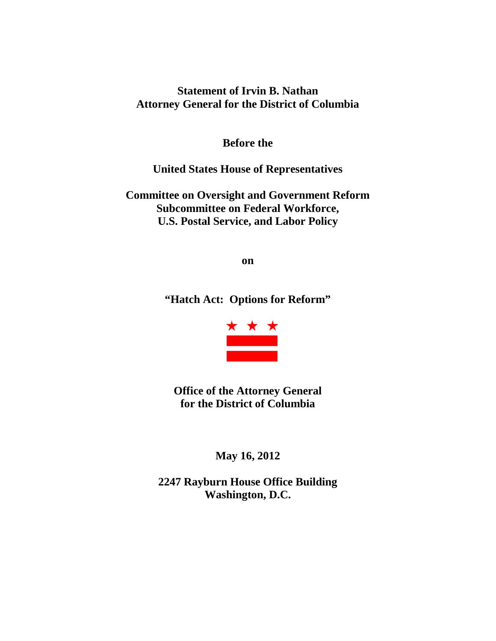## **Statement of Irvin B. Nathan Attorney General for the District of Columbia**

**Before the**

**United States House of Representatives**

**Committee on Oversight and Government Reform Subcommittee on Federal Workforce, U.S. Postal Service, and Labor Policy**

**on**

**"Hatch Act: Options for Reform"**



**Office of the Attorney General for the District of Columbia**

**May 16, 2012**

**2247 Rayburn House Office Building Washington, D.C.**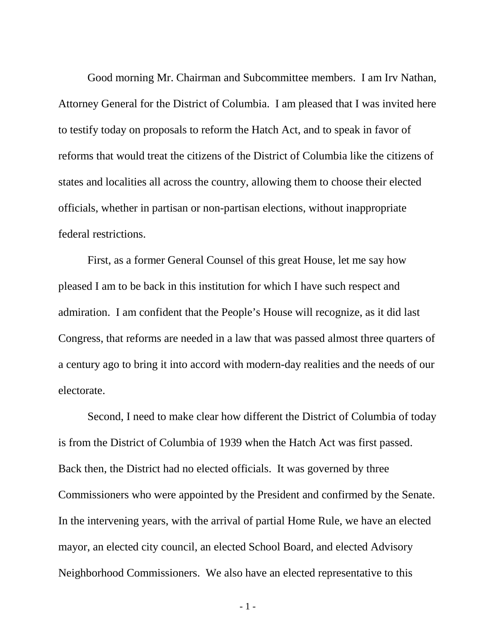Good morning Mr. Chairman and Subcommittee members. I am Irv Nathan, Attorney General for the District of Columbia. I am pleased that I was invited here to testify today on proposals to reform the Hatch Act, and to speak in favor of reforms that would treat the citizens of the District of Columbia like the citizens of states and localities all across the country, allowing them to choose their elected officials, whether in partisan or non-partisan elections, without inappropriate federal restrictions.

First, as a former General Counsel of this great House, let me say how pleased I am to be back in this institution for which I have such respect and admiration. I am confident that the People's House will recognize, as it did last Congress, that reforms are needed in a law that was passed almost three quarters of a century ago to bring it into accord with modern-day realities and the needs of our electorate.

Second, I need to make clear how different the District of Columbia of today is from the District of Columbia of 1939 when the Hatch Act was first passed. Back then, the District had no elected officials. It was governed by three Commissioners who were appointed by the President and confirmed by the Senate. In the intervening years, with the arrival of partial Home Rule, we have an elected mayor, an elected city council, an elected School Board, and elected Advisory Neighborhood Commissioners. We also have an elected representative to this

- 1 -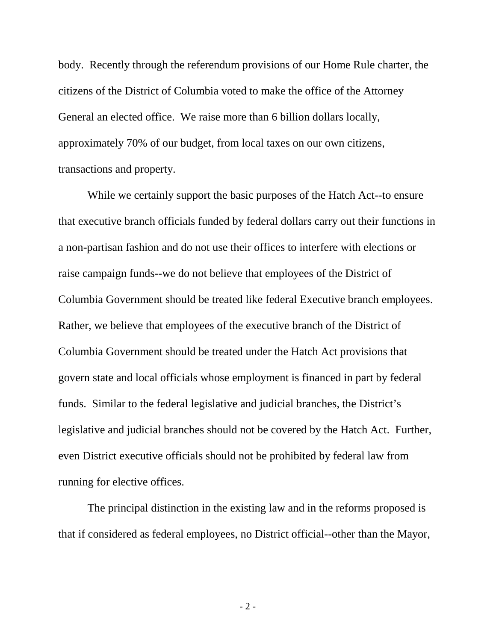body. Recently through the referendum provisions of our Home Rule charter, the citizens of the District of Columbia voted to make the office of the Attorney General an elected office. We raise more than 6 billion dollars locally, approximately 70% of our budget, from local taxes on our own citizens, transactions and property.

While we certainly support the basic purposes of the Hatch Act--to ensure that executive branch officials funded by federal dollars carry out their functions in a non-partisan fashion and do not use their offices to interfere with elections or raise campaign funds--we do not believe that employees of the District of Columbia Government should be treated like federal Executive branch employees. Rather, we believe that employees of the executive branch of the District of Columbia Government should be treated under the Hatch Act provisions that govern state and local officials whose employment is financed in part by federal funds. Similar to the federal legislative and judicial branches, the District's legislative and judicial branches should not be covered by the Hatch Act. Further, even District executive officials should not be prohibited by federal law from running for elective offices.

The principal distinction in the existing law and in the reforms proposed is that if considered as federal employees, no District official--other than the Mayor,

- 2 -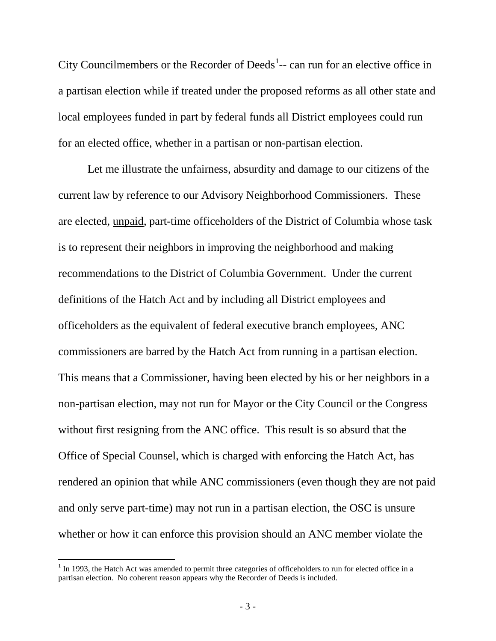City Councilmembers or the Recorder of Deeds<sup>[1](#page-3-0)</sup> $-$  can run for an elective office in a partisan election while if treated under the proposed reforms as all other state and local employees funded in part by federal funds all District employees could run for an elected office, whether in a partisan or non-partisan election.

Let me illustrate the unfairness, absurdity and damage to our citizens of the current law by reference to our Advisory Neighborhood Commissioners. These are elected, unpaid, part-time officeholders of the District of Columbia whose task is to represent their neighbors in improving the neighborhood and making recommendations to the District of Columbia Government. Under the current definitions of the Hatch Act and by including all District employees and officeholders as the equivalent of federal executive branch employees, ANC commissioners are barred by the Hatch Act from running in a partisan election. This means that a Commissioner, having been elected by his or her neighbors in a non-partisan election, may not run for Mayor or the City Council or the Congress without first resigning from the ANC office. This result is so absurd that the Office of Special Counsel, which is charged with enforcing the Hatch Act, has rendered an opinion that while ANC commissioners (even though they are not paid and only serve part-time) may not run in a partisan election, the OSC is unsure whether or how it can enforce this provision should an ANC member violate the

<span id="page-3-0"></span> $<sup>1</sup>$  In 1993, the Hatch Act was amended to permit three categories of officeholders to run for elected office in a</sup> partisan election. No coherent reason appears why the Recorder of Deeds is included.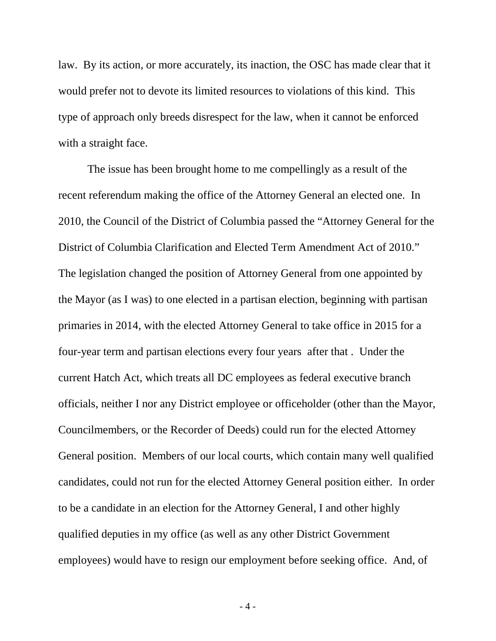law. By its action, or more accurately, its inaction, the OSC has made clear that it would prefer not to devote its limited resources to violations of this kind. This type of approach only breeds disrespect for the law, when it cannot be enforced with a straight face.

The issue has been brought home to me compellingly as a result of the recent referendum making the office of the Attorney General an elected one. In 2010, the Council of the District of Columbia passed the "Attorney General for the District of Columbia Clarification and Elected Term Amendment Act of 2010." The legislation changed the position of Attorney General from one appointed by the Mayor (as I was) to one elected in a partisan election, beginning with partisan primaries in 2014, with the elected Attorney General to take office in 2015 for a four-year term and partisan elections every four years after that . Under the current Hatch Act, which treats all DC employees as federal executive branch officials, neither I nor any District employee or officeholder (other than the Mayor, Councilmembers, or the Recorder of Deeds) could run for the elected Attorney General position. Members of our local courts, which contain many well qualified candidates, could not run for the elected Attorney General position either. In order to be a candidate in an election for the Attorney General, I and other highly qualified deputies in my office (as well as any other District Government employees) would have to resign our employment before seeking office. And, of

- 4 -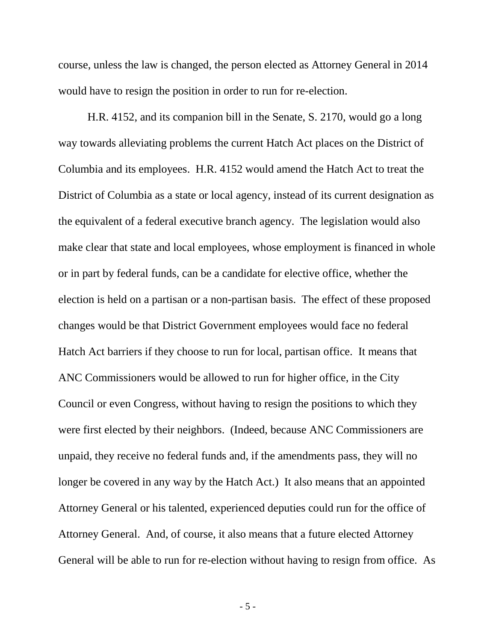course, unless the law is changed, the person elected as Attorney General in 2014 would have to resign the position in order to run for re-election.

H.R. 4152, and its companion bill in the Senate, S. 2170, would go a long way towards alleviating problems the current Hatch Act places on the District of Columbia and its employees. H.R. 4152 would amend the Hatch Act to treat the District of Columbia as a state or local agency, instead of its current designation as the equivalent of a federal executive branch agency. The legislation would also make clear that state and local employees, whose employment is financed in whole or in part by federal funds, can be a candidate for elective office, whether the election is held on a partisan or a non-partisan basis. The effect of these proposed changes would be that District Government employees would face no federal Hatch Act barriers if they choose to run for local, partisan office. It means that ANC Commissioners would be allowed to run for higher office, in the City Council or even Congress, without having to resign the positions to which they were first elected by their neighbors. (Indeed, because ANC Commissioners are unpaid, they receive no federal funds and, if the amendments pass, they will no longer be covered in any way by the Hatch Act.) It also means that an appointed Attorney General or his talented, experienced deputies could run for the office of Attorney General. And, of course, it also means that a future elected Attorney General will be able to run for re-election without having to resign from office. As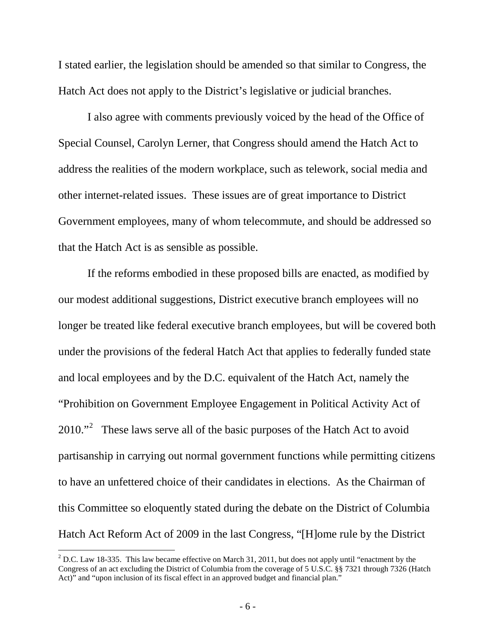I stated earlier, the legislation should be amended so that similar to Congress, the Hatch Act does not apply to the District's legislative or judicial branches.

I also agree with comments previously voiced by the head of the Office of Special Counsel, Carolyn Lerner, that Congress should amend the Hatch Act to address the realities of the modern workplace, such as telework, social media and other internet-related issues. These issues are of great importance to District Government employees, many of whom telecommute, and should be addressed so that the Hatch Act is as sensible as possible.

If the reforms embodied in these proposed bills are enacted, as modified by our modest additional suggestions, District executive branch employees will no longer be treated like federal executive branch employees, but will be covered both under the provisions of the federal Hatch Act that applies to federally funded state and local employees and by the D.C. equivalent of the Hatch Act, namely the "Prohibition on Government Employee Engagement in Political Activity Act of  $2010.^{2}$  $2010.^{2}$  These laws serve all of the basic purposes of the Hatch Act to avoid partisanship in carrying out normal government functions while permitting citizens to have an unfettered choice of their candidates in elections. As the Chairman of this Committee so eloquently stated during the debate on the District of Columbia Hatch Act Reform Act of 2009 in the last Congress, "[H]ome rule by the District

<span id="page-6-0"></span><sup>&</sup>lt;sup>2</sup> D.C. Law 18-335. This law became effective on March 31, 2011, but does not apply until "enactment by the Congress of an act excluding the District of Columbia from the coverage of 5 U.S.C. §§ 7321 through 7326 (Hatch Act)" and "upon inclusion of its fiscal effect in an approved budget and financial plan."